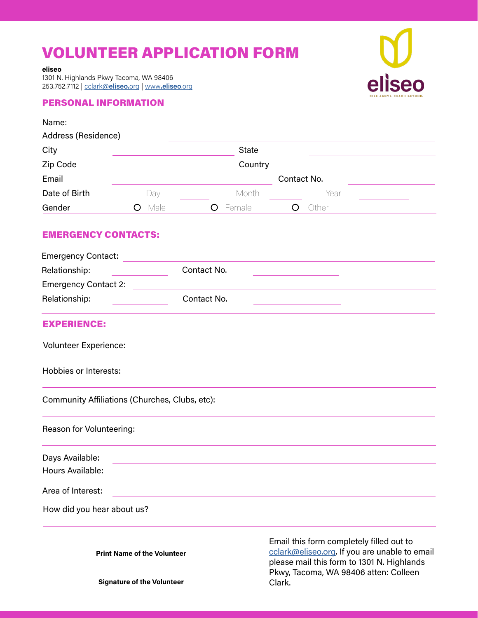# VOLUNTEER APPLICATION FORM

**eliseo**

1301 N. Highlands Pkwy Tacoma, WA 98406 253.752.7112 | [cclark@](mailto:cclark%40eliseo.org?subject=Volunteer%20Application%20Form%20)**eliseo.**org | www**[.eliseo](http://www.eliseo.org)**.org

**Signature of the Volunteer**

### PERSONAL INFORMATION

| Name:                                          |           |              |                                                                                                                                                                                  |       |
|------------------------------------------------|-----------|--------------|----------------------------------------------------------------------------------------------------------------------------------------------------------------------------------|-------|
| Address (Residence)                            |           |              |                                                                                                                                                                                  |       |
| City                                           |           | <b>State</b> |                                                                                                                                                                                  |       |
| Zip Code<br>Email                              |           |              | Country<br>Contact No.                                                                                                                                                           |       |
|                                                |           |              |                                                                                                                                                                                  |       |
| Gender                                         | Male<br>O | Female<br>O  | $\circ$                                                                                                                                                                          | Other |
| <b>EMERGENCY CONTACTS:</b>                     |           |              |                                                                                                                                                                                  |       |
| <b>Emergency Contact:</b>                      |           |              |                                                                                                                                                                                  |       |
| Relationship:                                  |           | Contact No.  |                                                                                                                                                                                  |       |
| <b>Emergency Contact 2:</b>                    |           |              |                                                                                                                                                                                  |       |
| Relationship:                                  |           | Contact No.  |                                                                                                                                                                                  |       |
| <b>EXPERIENCE:</b>                             |           |              |                                                                                                                                                                                  |       |
| Volunteer Experience:                          |           |              |                                                                                                                                                                                  |       |
| <b>Hobbies or Interests:</b>                   |           |              |                                                                                                                                                                                  |       |
| Community Affiliations (Churches, Clubs, etc): |           |              |                                                                                                                                                                                  |       |
| Reason for Volunteering:                       |           |              |                                                                                                                                                                                  |       |
| Days Available:                                |           |              |                                                                                                                                                                                  |       |
| Hours Available:                               |           |              |                                                                                                                                                                                  |       |
| Area of Interest:                              |           |              |                                                                                                                                                                                  |       |
| How did you hear about us?                     |           |              |                                                                                                                                                                                  |       |
| <b>Print Name of the Volunteer</b>             |           |              | Email this form completely filled out to<br>cclark@eliseo.org. If you are unable to email<br>please mail this form to 1301 N. Highlands<br>Pkwy, Tacoma, WA 98406 atten: Colleen |       |

Clark.

eliseo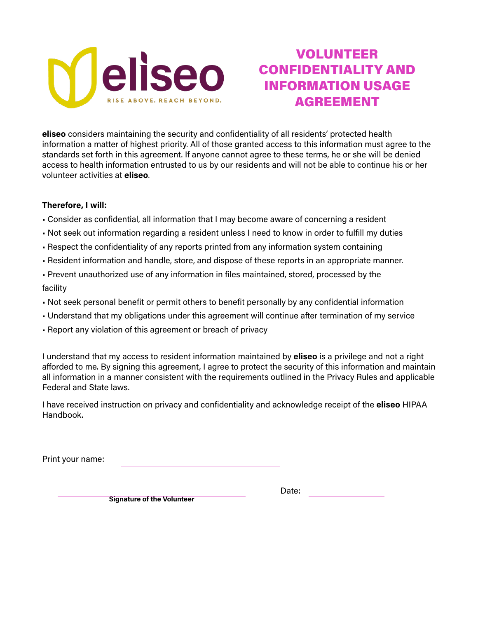

## VOLUNTEER CONFIDENTIALITY AND INFORMATION USAGE AGREEMENT

**eliseo** considers maintaining the security and confidentiality of all residents' protected health information a matter of highest priority. All of those granted access to this information must agree to the standards set forth in this agreement. If anyone cannot agree to these terms, he or she will be denied access to health information entrusted to us by our residents and will not be able to continue his or her volunteer activities at **eliseo**.

### **Therefore, I will:**

- Consider as confidential, all information that I may become aware of concerning a resident
- Not seek out information regarding a resident unless I need to know in order to fulfill my duties
- Respect the confidentiality of any reports printed from any information system containing
- Resident information and handle, store, and dispose of these reports in an appropriate manner.
- Prevent unauthorized use of any information in files maintained, stored, processed by the facility
- Not seek personal benefit or permit others to benefit personally by any confidential information
- Understand that my obligations under this agreement will continue after termination of my service
- Report any violation of this agreement or breach of privacy

I understand that my access to resident information maintained by **eliseo** is a privilege and not a right afforded to me. By signing this agreement, I agree to protect the security of this information and maintain all information in a manner consistent with the requirements outlined in the Privacy Rules and applicable Federal and State laws.

I have received instruction on privacy and confidentiality and acknowledge receipt of the **eliseo** HIPAA Handbook.

Print your name:

**Signature of the Volunteer**

Date: